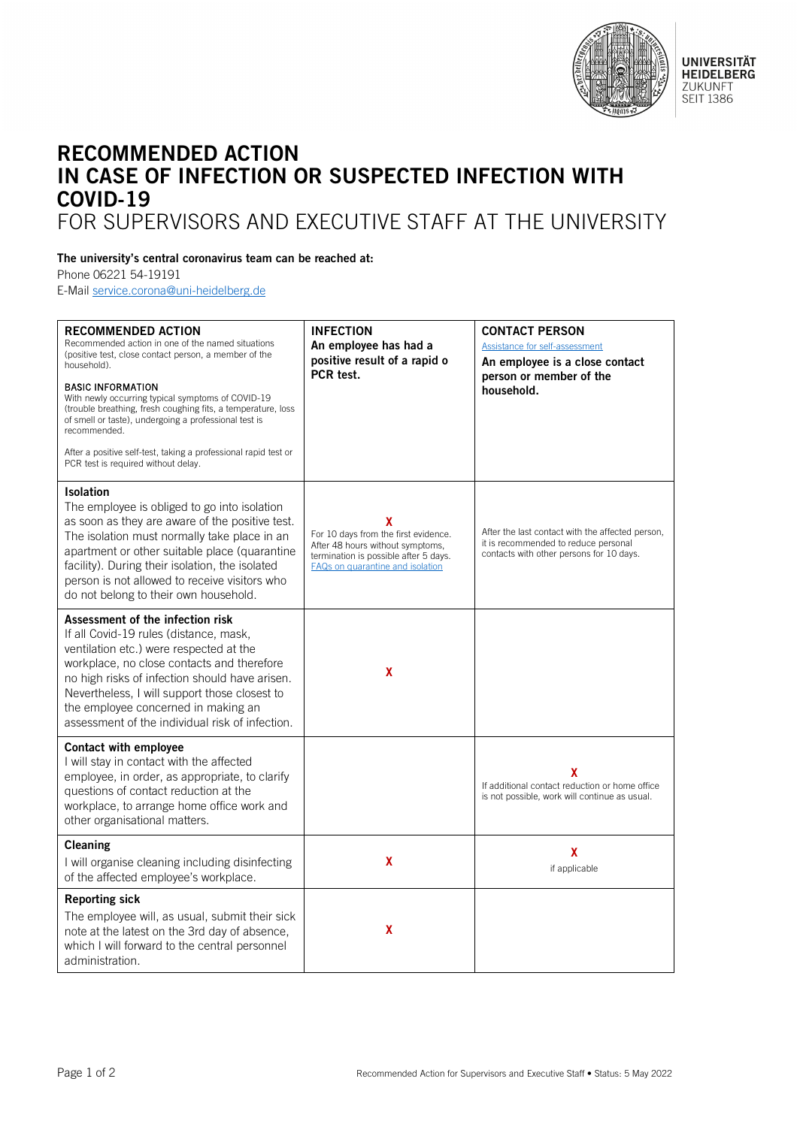

## RECOMMENDED ACTION IN CASE OF INFECTION OR SUSPECTED INFECTION WITH COVID-19 FOR SUPERVISORS AND EXECUTIVE STAFF AT THE UNIVERSITY

## The university's central coronavirus team can be reached at:

Phone 06221 54-19191

E-Mail [service.corona@uni-heidelberg.de](mailto:service.corona@uni-heidelberg.de)

| <b>RECOMMENDED ACTION</b><br>Recommended action in one of the named situations<br>(positive test, close contact person, a member of the<br>household).<br><b>BASIC INFORMATION</b><br>With newly occurring typical symptoms of COVID-19<br>(trouble breathing, fresh coughing fits, a temperature, loss<br>of smell or taste), undergoing a professional test is<br>recommended.<br>After a positive self-test, taking a professional rapid test or<br>PCR test is required without delay. | <b>INFECTION</b><br>An employee has had a<br>positive result of a rapid o<br>PCR test.                                                                     | <b>CONTACT PERSON</b><br>Assistance for self-assessment<br>An employee is a close contact<br>person or member of the<br>household.   |
|--------------------------------------------------------------------------------------------------------------------------------------------------------------------------------------------------------------------------------------------------------------------------------------------------------------------------------------------------------------------------------------------------------------------------------------------------------------------------------------------|------------------------------------------------------------------------------------------------------------------------------------------------------------|--------------------------------------------------------------------------------------------------------------------------------------|
| <b>Isolation</b><br>The employee is obliged to go into isolation<br>as soon as they are aware of the positive test.<br>The isolation must normally take place in an<br>apartment or other suitable place (quarantine<br>facility). During their isolation, the isolated<br>person is not allowed to receive visitors who<br>do not belong to their own household.                                                                                                                          | x<br>For 10 days from the first evidence.<br>After 48 hours without symptoms,<br>termination is possible after 5 days.<br>FAQs on quarantine and isolation | After the last contact with the affected person,<br>it is recommended to reduce personal<br>contacts with other persons for 10 days. |
| Assessment of the infection risk<br>If all Covid-19 rules (distance, mask,<br>ventilation etc.) were respected at the<br>workplace, no close contacts and therefore<br>no high risks of infection should have arisen.<br>Nevertheless, I will support those closest to<br>the employee concerned in making an<br>assessment of the individual risk of infection.                                                                                                                           | x                                                                                                                                                          |                                                                                                                                      |
| Contact with employee<br>I will stay in contact with the affected<br>employee, in order, as appropriate, to clarify<br>questions of contact reduction at the<br>workplace, to arrange home office work and<br>other organisational matters.                                                                                                                                                                                                                                                |                                                                                                                                                            | χ<br>If additional contact reduction or home office<br>is not possible, work will continue as usual.                                 |
| Cleaning<br>I will organise cleaning including disinfecting<br>of the affected employee's workplace.                                                                                                                                                                                                                                                                                                                                                                                       | X                                                                                                                                                          | X<br>if applicable                                                                                                                   |
| <b>Reporting sick</b><br>The employee will, as usual, submit their sick<br>note at the latest on the 3rd day of absence,<br>which I will forward to the central personnel<br>administration.                                                                                                                                                                                                                                                                                               | X                                                                                                                                                          |                                                                                                                                      |